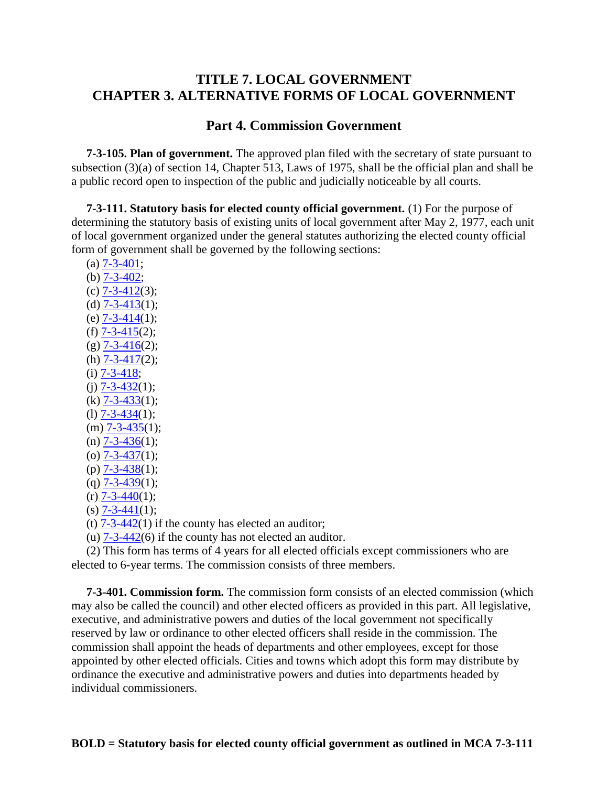# **TITLE 7. LOCAL GOVERNMENT CHAPTER 3. ALTERNATIVE FORMS OF LOCAL GOVERNMENT**

### **Part 4. Commission Government**

 **7-3-105. Plan of government.** The approved plan filed with the secretary of state pursuant to subsection (3)(a) of section 14, Chapter 513, Laws of 1975, shall be the official plan and shall be a public record open to inspection of the public and judicially noticeable by all courts.

 **7-3-111. Statutory basis for elected county official government.** (1) For the purpose of determining the statutory basis of existing units of local government after May 2, 1977, each unit of local government organized under the general statutes authorizing the elected county official form of government shall be governed by the following sections:

- (a) [7-3-401;](http://data.opi.mt.gov/bills/mca/7/3/7-3-401.htm) (b) [7-3-402;](http://data.opi.mt.gov/bills/mca/7/3/7-3-402.htm)  $(c)$  [7-3-412\(](http://data.opi.mt.gov/bills/mca/7/3/7-3-412.htm)3); (d)  $7 - 3 - 413(1);$  (e) [7-3-414\(](http://data.opi.mt.gov/bills/mca/7/3/7-3-414.htm)1); (f)  $7 - 3 - 415(2)$ ;  $(g)$  [7-3-416\(](http://data.opi.mt.gov/bills/mca/7/3/7-3-416.htm)2); (h)  $7 - 3 - 417(2)$ ;  $(i)$  [7-3-418;](http://data.opi.mt.gov/bills/mca/7/3/7-3-418.htm) (j)  $\overline{7-3-432}(1);$  $(k)$   $\overline{7-3-433(1)}$ ; (1)  $\overline{7-3-434}(1);$  $(m)$  [7-3-435\(](http://data.opi.mt.gov/bills/mca/7/3/7-3-435.htm)1);  $(n)$  [7-3-436\(](http://data.opi.mt.gov/bills/mca/7/3/7-3-436.htm)1);  $(a)$  [7-3-437\(](http://data.opi.mt.gov/bills/mca/7/3/7-3-437.htm)1);  $(p)$  7-3-438 $(1);$ (q)  $\overline{7-3-439}(1);$  $(r)$  [7-3-440\(](http://data.opi.mt.gov/bills/mca/7/3/7-3-440.htm)1);
- $(s)$  [7-3-441\(](http://data.opi.mt.gov/bills/mca/7/3/7-3-441.htm)1);
- (t)  $7-3-442(1)$  if the county has elected an auditor;

(u) [7-3-442\(](http://data.opi.mt.gov/bills/mca/7/3/7-3-442.htm)6) if the county has not elected an auditor.

 (2) This form has terms of 4 years for all elected officials except commissioners who are elected to 6-year terms. The commission consists of three members.

 **7-3-401. Commission form.** The commission form consists of an elected commission (which may also be called the council) and other elected officers as provided in this part. All legislative, executive, and administrative powers and duties of the local government not specifically reserved by law or ordinance to other elected officers shall reside in the commission. The commission shall appoint the heads of departments and other employees, except for those appointed by other elected officials. Cities and towns which adopt this form may distribute by ordinance the executive and administrative powers and duties into departments headed by individual commissioners.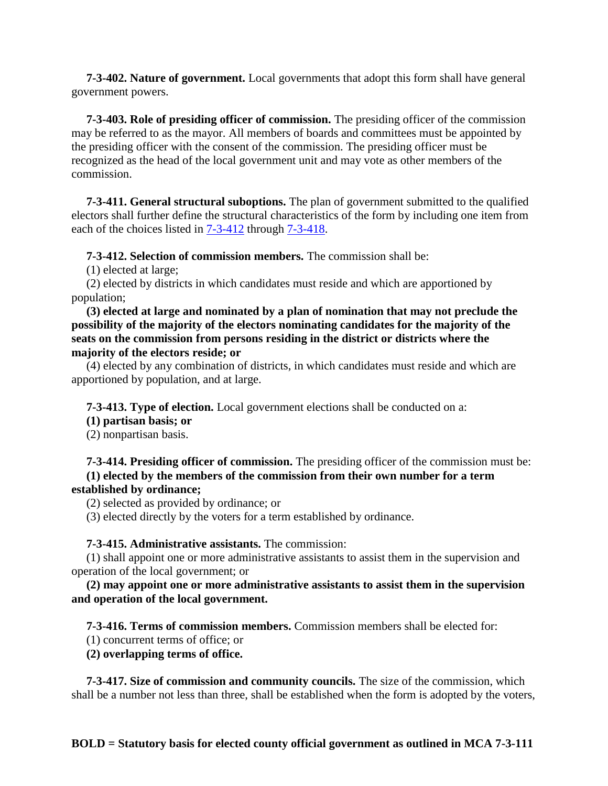**7-3-402. Nature of government.** Local governments that adopt this form shall have general government powers.

 **7-3-403. Role of presiding officer of commission.** The presiding officer of the commission may be referred to as the mayor. All members of boards and committees must be appointed by the presiding officer with the consent of the commission. The presiding officer must be recognized as the head of the local government unit and may vote as other members of the commission.

 **7-3-411. General structural suboptions.** The plan of government submitted to the qualified electors shall further define the structural characteristics of the form by including one item from each of the choices listed in  $7-3-412$  through  $7-3-418$ .

**7-3-412. Selection of commission members.** The commission shall be:

(1) elected at large;

 (2) elected by districts in which candidates must reside and which are apportioned by population;

 **(3) elected at large and nominated by a plan of nomination that may not preclude the possibility of the majority of the electors nominating candidates for the majority of the seats on the commission from persons residing in the district or districts where the majority of the electors reside; or**

 (4) elected by any combination of districts, in which candidates must reside and which are apportioned by population, and at large.

**7-3-413. Type of election.** Local government elections shall be conducted on a:

#### **(1) partisan basis; or**

(2) nonpartisan basis.

#### **7-3-414. Presiding officer of commission.** The presiding officer of the commission must be:  **(1) elected by the members of the commission from their own number for a term established by ordinance;**

(2) selected as provided by ordinance; or

(3) elected directly by the voters for a term established by ordinance.

### **7-3-415. Administrative assistants.** The commission:

 (1) shall appoint one or more administrative assistants to assist them in the supervision and operation of the local government; or

 **(2) may appoint one or more administrative assistants to assist them in the supervision and operation of the local government.**

### **7-3-416. Terms of commission members.** Commission members shall be elected for:

(1) concurrent terms of office; or

 **(2) overlapping terms of office.**

 **7-3-417. Size of commission and community councils.** The size of the commission, which shall be a number not less than three, shall be established when the form is adopted by the voters,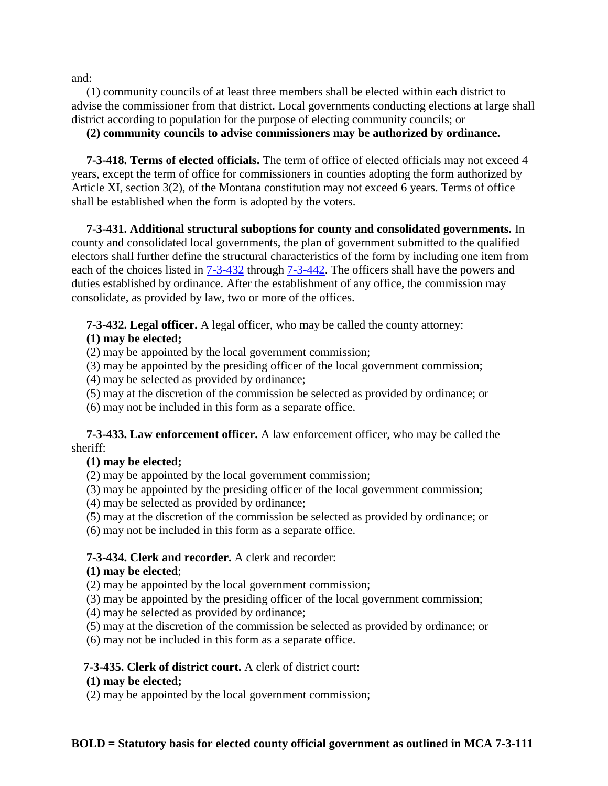and:

 (1) community councils of at least three members shall be elected within each district to advise the commissioner from that district. Local governments conducting elections at large shall district according to population for the purpose of electing community councils; or

**(2) community councils to advise commissioners may be authorized by ordinance.**

 **7-3-418. Terms of elected officials.** The term of office of elected officials may not exceed 4 years, except the term of office for commissioners in counties adopting the form authorized by Article XI, section 3(2), of the Montana constitution may not exceed 6 years. Terms of office shall be established when the form is adopted by the voters.

 **7-3-431. Additional structural suboptions for county and consolidated governments.** In county and consolidated local governments, the plan of government submitted to the qualified electors shall further define the structural characteristics of the form by including one item from each of the choices listed in  $7-3-432$  through  $7-3-442$ . The officers shall have the powers and duties established by ordinance. After the establishment of any office, the commission may consolidate, as provided by law, two or more of the offices.

**7-3-432. Legal officer.** A legal officer, who may be called the county attorney:

# **(1) may be elected;**

(2) may be appointed by the local government commission;

- (3) may be appointed by the presiding officer of the local government commission;
- (4) may be selected as provided by ordinance;
- (5) may at the discretion of the commission be selected as provided by ordinance; or

(6) may not be included in this form as a separate office.

 **7-3-433. Law enforcement officer.** A law enforcement officer, who may be called the sheriff:

# **(1) may be elected;**

- (2) may be appointed by the local government commission;
- (3) may be appointed by the presiding officer of the local government commission;
- (4) may be selected as provided by ordinance;
- (5) may at the discretion of the commission be selected as provided by ordinance; or
- (6) may not be included in this form as a separate office.

# **7-3-434. Clerk and recorder.** A clerk and recorder:

# **(1) may be elected**;

(2) may be appointed by the local government commission;

(3) may be appointed by the presiding officer of the local government commission;

(4) may be selected as provided by ordinance;

(5) may at the discretion of the commission be selected as provided by ordinance; or

(6) may not be included in this form as a separate office.

# **7-3-435. Clerk of district court.** A clerk of district court:

# **(1) may be elected;**

(2) may be appointed by the local government commission;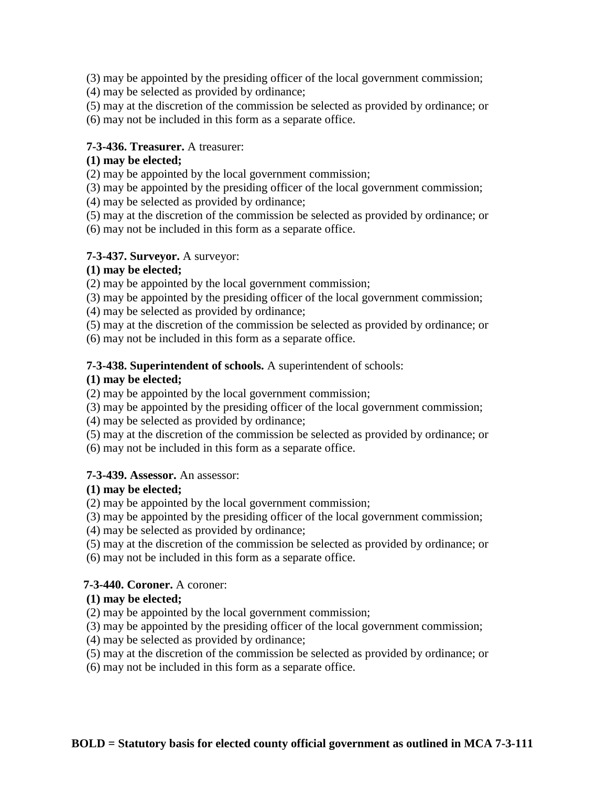(3) may be appointed by the presiding officer of the local government commission;

- (4) may be selected as provided by ordinance;
- (5) may at the discretion of the commission be selected as provided by ordinance; or
- (6) may not be included in this form as a separate office.

### **7-3-436. Treasurer.** A treasurer:

## **(1) may be elected;**

- (2) may be appointed by the local government commission;
- (3) may be appointed by the presiding officer of the local government commission;
- (4) may be selected as provided by ordinance;
- (5) may at the discretion of the commission be selected as provided by ordinance; or
- (6) may not be included in this form as a separate office.

## **7-3-437. Surveyor.** A surveyor:

## **(1) may be elected;**

(2) may be appointed by the local government commission;

- (3) may be appointed by the presiding officer of the local government commission;
- (4) may be selected as provided by ordinance;
- (5) may at the discretion of the commission be selected as provided by ordinance; or
- (6) may not be included in this form as a separate office.

# **7-3-438. Superintendent of schools.** A superintendent of schools:

## **(1) may be elected;**

(2) may be appointed by the local government commission;

- (3) may be appointed by the presiding officer of the local government commission;
- (4) may be selected as provided by ordinance;
- (5) may at the discretion of the commission be selected as provided by ordinance; or
- (6) may not be included in this form as a separate office.

### **7-3-439. Assessor.** An assessor:

### **(1) may be elected;**

- (2) may be appointed by the local government commission;
- (3) may be appointed by the presiding officer of the local government commission;
- (4) may be selected as provided by ordinance;
- (5) may at the discretion of the commission be selected as provided by ordinance; or
- (6) may not be included in this form as a separate office.

### **7-3-440. Coroner.** A coroner:

### **(1) may be elected;**

- (2) may be appointed by the local government commission;
- (3) may be appointed by the presiding officer of the local government commission;
- (4) may be selected as provided by ordinance;
- (5) may at the discretion of the commission be selected as provided by ordinance; or
- (6) may not be included in this form as a separate office.